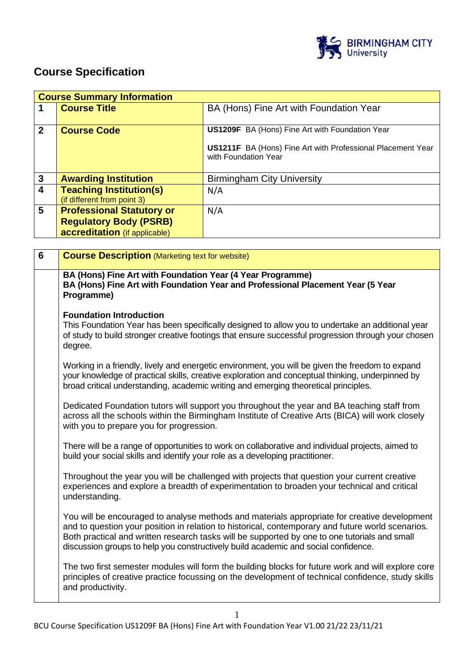

# **Course Specification**

|                         | <b>Course Summary Information</b>                                                                  |                                                                                                                                                      |  |
|-------------------------|----------------------------------------------------------------------------------------------------|------------------------------------------------------------------------------------------------------------------------------------------------------|--|
|                         | <b>Course Title</b>                                                                                | BA (Hons) Fine Art with Foundation Year                                                                                                              |  |
| $\overline{2}$          | <b>Course Code</b>                                                                                 | <b>US1209F</b> BA (Hons) Fine Art with Foundation Year<br><b>US1211F</b> BA (Hons) Fine Art with Professional Placement Year<br>with Foundation Year |  |
|                         |                                                                                                    |                                                                                                                                                      |  |
| $\mathbf{3}$            | <b>Awarding Institution</b>                                                                        | <b>Birmingham City University</b>                                                                                                                    |  |
| $\overline{\mathbf{4}}$ | <b>Teaching Institution(s)</b><br>(if different from point 3)                                      | N/A                                                                                                                                                  |  |
| 5                       | <b>Professional Statutory or</b><br><b>Regulatory Body (PSRB)</b><br>accreditation (if applicable) | N/A                                                                                                                                                  |  |

| $6\phantom{1}$ | <b>Course Description (Marketing text for website)</b>                                                                                                                                                                                                                                                                                                                                   |
|----------------|------------------------------------------------------------------------------------------------------------------------------------------------------------------------------------------------------------------------------------------------------------------------------------------------------------------------------------------------------------------------------------------|
|                | BA (Hons) Fine Art with Foundation Year (4 Year Programme)<br>BA (Hons) Fine Art with Foundation Year and Professional Placement Year (5 Year<br>Programme)                                                                                                                                                                                                                              |
|                | <b>Foundation Introduction</b><br>This Foundation Year has been specifically designed to allow you to undertake an additional year<br>of study to build stronger creative footings that ensure successful progression through your chosen<br>degree.                                                                                                                                     |
|                | Working in a friendly, lively and energetic environment, you will be given the freedom to expand<br>your knowledge of practical skills, creative exploration and conceptual thinking, underpinned by<br>broad critical understanding, academic writing and emerging theoretical principles.                                                                                              |
|                | Dedicated Foundation tutors will support you throughout the year and BA teaching staff from<br>across all the schools within the Birmingham Institute of Creative Arts (BICA) will work closely<br>with you to prepare you for progression.                                                                                                                                              |
|                | There will be a range of opportunities to work on collaborative and individual projects, aimed to<br>build your social skills and identify your role as a developing practitioner.                                                                                                                                                                                                       |
|                | Throughout the year you will be challenged with projects that question your current creative<br>experiences and explore a breadth of experimentation to broaden your technical and critical<br>understanding.                                                                                                                                                                            |
|                | You will be encouraged to analyse methods and materials appropriate for creative development<br>and to question your position in relation to historical, contemporary and future world scenarios.<br>Both practical and written research tasks will be supported by one to one tutorials and small<br>discussion groups to help you constructively build academic and social confidence. |
|                | The two first semester modules will form the building blocks for future work and will explore core<br>principles of creative practice focussing on the development of technical confidence, study skills<br>and productivity.                                                                                                                                                            |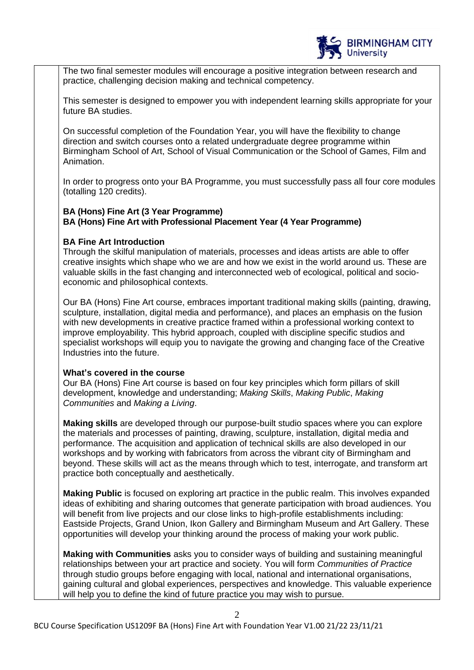

The two final semester modules will encourage a positive integration between research and practice, challenging decision making and technical competency.

This semester is designed to empower you with independent learning skills appropriate for your future BA studies.

On successful completion of the Foundation Year, you will have the flexibility to change direction and switch courses onto a related undergraduate degree programme within Birmingham School of Art, School of Visual Communication or the School of Games, Film and Animation.

In order to progress onto your BA Programme, you must successfully pass all four core modules (totalling 120 credits).

#### **BA (Hons) Fine Art (3 Year Programme) BA (Hons) Fine Art with Professional Placement Year (4 Year Programme)**

#### **BA Fine Art Introduction**

Through the skilful manipulation of materials, processes and ideas artists are able to offer creative insights which shape who we are and how we exist in the world around us. These are valuable skills in the fast changing and interconnected web of ecological, political and socioeconomic and philosophical contexts.

Our BA (Hons) Fine Art course, embraces important traditional making skills (painting, drawing, sculpture, installation, digital media and performance), and places an emphasis on the fusion with new developments in creative practice framed within a professional working context to improve employability. This hybrid approach, coupled with discipline specific studios and specialist workshops will equip you to navigate the growing and changing face of the Creative Industries into the future.

#### **What's covered in the course**

Our BA (Hons) Fine Art course is based on four key principles which form pillars of skill development, knowledge and understanding; *Making Skills*, *Making Public*, *Making Communities* and *Making a Living*.

**Making skills** are developed through our purpose-built studio spaces where you can explore the materials and processes of painting, drawing, sculpture, installation, digital media and performance. The acquisition and application of technical skills are also developed in our workshops and by working with fabricators from across the vibrant city of Birmingham and beyond. These skills will act as the means through which to test, interrogate, and transform art practice both conceptually and aesthetically.

**Making Public** is focused on exploring art practice in the public realm. This involves expanded ideas of exhibiting and sharing outcomes that generate participation with broad audiences. You will benefit from live projects and our close links to high-profile establishments including: Eastside Projects, Grand Union, Ikon Gallery and Birmingham Museum and Art Gallery. These opportunities will develop your thinking around the process of making your work public.

**Making with Communities** asks you to consider ways of building and sustaining meaningful relationships between your art practice and society. You will form *Communities of Practice* through studio groups before engaging with local, national and international organisations, gaining cultural and global experiences, perspectives and knowledge. This valuable experience will help you to define the kind of future practice you may wish to pursue.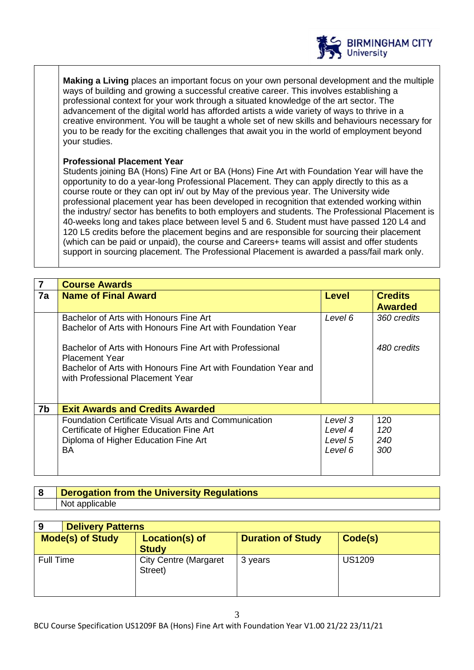

**Making a Living** places an important focus on your own personal development and the multiple ways of building and growing a successful creative career. This involves establishing a professional context for your work through a situated knowledge of the art sector. The advancement of the digital world has afforded artists a wide variety of ways to thrive in a creative environment. You will be taught a whole set of new skills and behaviours necessary for you to be ready for the exciting challenges that await you in the world of employment beyond your studies.

#### **Professional Placement Year**

Students joining BA (Hons) Fine Art or BA (Hons) Fine Art with Foundation Year will have the opportunity to do a year-long Professional Placement. They can apply directly to this as a course route or they can opt in/ out by May of the previous year. The University wide professional placement year has been developed in recognition that extended working within the industry/ sector has benefits to both employers and students. The Professional Placement is 40-weeks long and takes place between level 5 and 6. Student must have passed 120 L4 and 120 L5 credits before the placement begins and are responsible for sourcing their placement (which can be paid or unpaid), the course and Careers+ teams will assist and offer students support in sourcing placement. The Professional Placement is awarded a pass/fail mark only.

|    | <b>Course Awards</b>                                                                                  |              |                                  |
|----|-------------------------------------------------------------------------------------------------------|--------------|----------------------------------|
| 7a | <b>Name of Final Award</b>                                                                            | <b>Level</b> | <b>Credits</b><br><b>Awarded</b> |
|    | Bachelor of Arts with Honours Fine Art<br>Bachelor of Arts with Honours Fine Art with Foundation Year | Level 6      | 360 credits                      |
|    | Bachelor of Arts with Honours Fine Art with Professional<br><b>Placement Year</b>                     |              | 480 credits                      |
|    | Bachelor of Arts with Honours Fine Art with Foundation Year and<br>with Professional Placement Year   |              |                                  |
| 7b | <b>Exit Awards and Credits Awarded</b>                                                                |              |                                  |
|    | <b>Foundation Certificate Visual Arts and Communication</b>                                           | Level 3      | 120                              |
|    | Certificate of Higher Education Fine Art                                                              | Level 4      | 120                              |
|    | Diploma of Higher Education Fine Art                                                                  | Level 5      | 240                              |
|    | BA                                                                                                    | Level 6      | 300                              |
|    |                                                                                                       |              |                                  |

| <b>Derogation from the University Regulations</b> |
|---------------------------------------------------|
| Not applicable                                    |

| 9                       | <b>Delivery Patterns</b>                |                          |               |
|-------------------------|-----------------------------------------|--------------------------|---------------|
| <b>Mode(s) of Study</b> | Location(s) of<br><b>Study</b>          | <b>Duration of Study</b> | Code(s)       |
| <b>Full Time</b>        | <b>City Centre (Margaret</b><br>Street) | 3 years                  | <b>US1209</b> |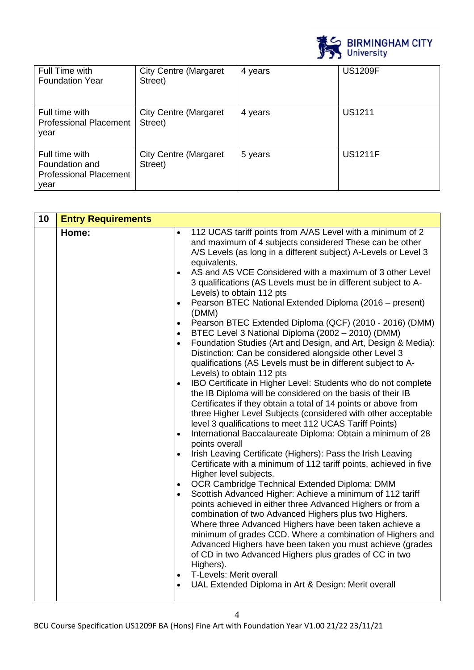

| Full Time with<br><b>Foundation Year</b>                                  | <b>City Centre (Margaret</b><br>Street) | 4 years | <b>US1209F</b> |
|---------------------------------------------------------------------------|-----------------------------------------|---------|----------------|
| Full time with<br><b>Professional Placement</b><br>year                   | <b>City Centre (Margaret</b><br>Street) | 4 years | <b>US1211</b>  |
| Full time with<br>Foundation and<br><b>Professional Placement</b><br>year | <b>City Centre (Margaret</b><br>Street) | 5 years | <b>US1211F</b> |

| 10 | <b>Entry Requirements</b> |                                                                                                                                                                                                                                                                                                                                                                                                                                                                                                                                                                                                                                                                                                                                                                                                                                                                                                                                                                                                                                                                                                                                                                                                                                                                                                                                                                                                                                                                                                                                                                                                                                                                                                                                                                                                                                                                                                                                                                                                                                                                                                                 |
|----|---------------------------|-----------------------------------------------------------------------------------------------------------------------------------------------------------------------------------------------------------------------------------------------------------------------------------------------------------------------------------------------------------------------------------------------------------------------------------------------------------------------------------------------------------------------------------------------------------------------------------------------------------------------------------------------------------------------------------------------------------------------------------------------------------------------------------------------------------------------------------------------------------------------------------------------------------------------------------------------------------------------------------------------------------------------------------------------------------------------------------------------------------------------------------------------------------------------------------------------------------------------------------------------------------------------------------------------------------------------------------------------------------------------------------------------------------------------------------------------------------------------------------------------------------------------------------------------------------------------------------------------------------------------------------------------------------------------------------------------------------------------------------------------------------------------------------------------------------------------------------------------------------------------------------------------------------------------------------------------------------------------------------------------------------------------------------------------------------------------------------------------------------------|
|    | Home:                     | 112 UCAS tariff points from A/AS Level with a minimum of 2<br>$\bullet$<br>and maximum of 4 subjects considered These can be other<br>A/S Levels (as long in a different subject) A-Levels or Level 3<br>equivalents.<br>AS and AS VCE Considered with a maximum of 3 other Level<br>3 qualifications (AS Levels must be in different subject to A-<br>Levels) to obtain 112 pts<br>Pearson BTEC National Extended Diploma (2016 - present)<br>$\bullet$<br>(DMM)<br>Pearson BTEC Extended Diploma (QCF) (2010 - 2016) (DMM)<br>$\bullet$<br>BTEC Level 3 National Diploma (2002 - 2010) (DMM)<br>$\bullet$<br>Foundation Studies (Art and Design, and Art, Design & Media):<br>$\bullet$<br>Distinction: Can be considered alongside other Level 3<br>qualifications (AS Levels must be in different subject to A-<br>Levels) to obtain 112 pts<br>IBO Certificate in Higher Level: Students who do not complete<br>$\bullet$<br>the IB Diploma will be considered on the basis of their IB<br>Certificates if they obtain a total of 14 points or above from<br>three Higher Level Subjects (considered with other acceptable<br>level 3 qualifications to meet 112 UCAS Tariff Points)<br>International Baccalaureate Diploma: Obtain a minimum of 28<br>$\bullet$<br>points overall<br>Irish Leaving Certificate (Highers): Pass the Irish Leaving<br>$\bullet$<br>Certificate with a minimum of 112 tariff points, achieved in five<br>Higher level subjects.<br>OCR Cambridge Technical Extended Diploma: DMM<br>$\bullet$<br>Scottish Advanced Higher: Achieve a minimum of 112 tariff<br>$\bullet$<br>points achieved in either three Advanced Highers or from a<br>combination of two Advanced Highers plus two Highers.<br>Where three Advanced Highers have been taken achieve a<br>minimum of grades CCD. Where a combination of Highers and<br>Advanced Highers have been taken you must achieve (grades<br>of CD in two Advanced Highers plus grades of CC in two<br>Highers).<br><b>T-Levels: Merit overall</b><br>$\bullet$<br>UAL Extended Diploma in Art & Design: Merit overall<br>$\bullet$ |

4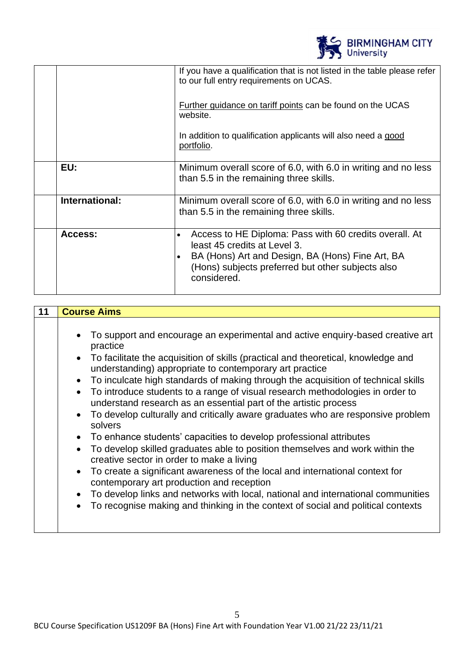|                | <b>BIRMINGHAM CITY</b><br>University                                                                                                                                                                                        |
|----------------|-----------------------------------------------------------------------------------------------------------------------------------------------------------------------------------------------------------------------------|
|                | If you have a qualification that is not listed in the table please refer<br>to our full entry requirements on UCAS.                                                                                                         |
|                | <b>Further guidance on tariff points can be found on the UCAS</b><br>website.                                                                                                                                               |
|                | In addition to qualification applicants will also need a good<br>portfolio.                                                                                                                                                 |
| EU:            | Minimum overall score of 6.0, with 6.0 in writing and no less<br>than 5.5 in the remaining three skills.                                                                                                                    |
| International: | Minimum overall score of 6.0, with 6.0 in writing and no less<br>than 5.5 in the remaining three skills.                                                                                                                    |
| Access:        | Access to HE Diploma: Pass with 60 credits overall. At<br>$\bullet$<br>least 45 credits at Level 3.<br>BA (Hons) Art and Design, BA (Hons) Fine Art, BA<br>(Hons) subjects preferred but other subjects also<br>considered. |

| 11 | <b>Course Aims</b>                                                                                                                                                                                                                                                                                                                                                                                                                                                                                                                                                                                                                                                                                                                                                                                                                                                                                                                                                                                                                                                                                                                                                                                                |
|----|-------------------------------------------------------------------------------------------------------------------------------------------------------------------------------------------------------------------------------------------------------------------------------------------------------------------------------------------------------------------------------------------------------------------------------------------------------------------------------------------------------------------------------------------------------------------------------------------------------------------------------------------------------------------------------------------------------------------------------------------------------------------------------------------------------------------------------------------------------------------------------------------------------------------------------------------------------------------------------------------------------------------------------------------------------------------------------------------------------------------------------------------------------------------------------------------------------------------|
|    | To support and encourage an experimental and active enquiry-based creative art<br>$\bullet$<br>practice<br>• To facilitate the acquisition of skills (practical and theoretical, knowledge and<br>understanding) appropriate to contemporary art practice<br>To inculcate high standards of making through the acquisition of technical skills<br>$\bullet$<br>To introduce students to a range of visual research methodologies in order to<br>$\bullet$<br>understand research as an essential part of the artistic process<br>To develop culturally and critically aware graduates who are responsive problem<br>$\bullet$<br>solvers<br>To enhance students' capacities to develop professional attributes<br>$\bullet$<br>To develop skilled graduates able to position themselves and work within the<br>$\bullet$<br>creative sector in order to make a living<br>To create a significant awareness of the local and international context for<br>$\bullet$<br>contemporary art production and reception<br>To develop links and networks with local, national and international communities<br>$\bullet$<br>To recognise making and thinking in the context of social and political contexts<br>$\bullet$ |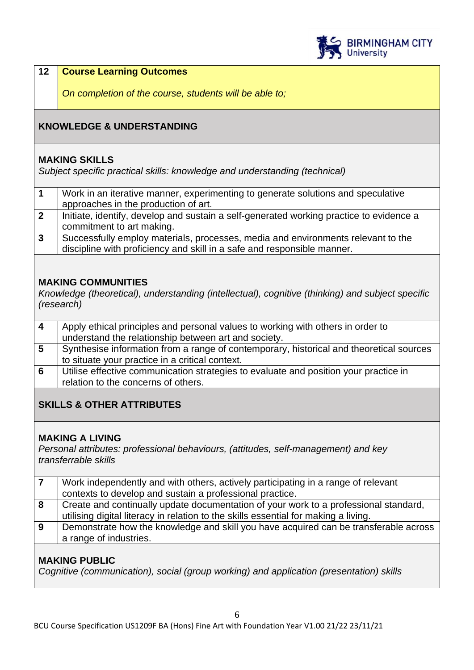

### **12 Course Learning Outcomes**

*On completion of the course, students will be able to;*

# **KNOWLEDGE & UNDERSTANDING**

#### **MAKING SKILLS**

*Subject specific practical skills: knowledge and understanding (technical)* 

|                | Work in an iterative manner, experimenting to generate solutions and speculative        |
|----------------|-----------------------------------------------------------------------------------------|
|                | approaches in the production of art.                                                    |
| $\overline{2}$ | Initiate, identify, develop and sustain a self-generated working practice to evidence a |
|                | commitment to art making.                                                               |
| $\mathbf{3}$   | Successfully employ materials, processes, media and environments relevant to the        |
|                | discipline with proficiency and skill in a safe and responsible manner.                 |

#### **MAKING COMMUNITIES**

*Knowledge (theoretical), understanding (intellectual), cognitive (thinking) and subject specific (research)*

| 4 | Apply ethical principles and personal values to working with others in order to         |
|---|-----------------------------------------------------------------------------------------|
|   | understand the relationship between art and society.                                    |
| 5 | Synthesise information from a range of contemporary, historical and theoretical sources |
|   | to situate your practice in a critical context.                                         |
| 6 | Utilise effective communication strategies to evaluate and position your practice in    |
|   | relation to the concerns of others.                                                     |
|   |                                                                                         |

# **SKILLS & OTHER ATTRIBUTES**

### **MAKING A LIVING**

*Personal attributes: professional behaviours, (attitudes, self-management) and key transferrable skills*

|   | Work independently and with others, actively participating in a range of relevant    |
|---|--------------------------------------------------------------------------------------|
|   | contexts to develop and sustain a professional practice.                             |
| 8 | Create and continually update documentation of your work to a professional standard, |
|   | utilising digital literacy in relation to the skills essential for making a living.  |
| 9 | Demonstrate how the knowledge and skill you have acquired can be transferable across |
|   | a range of industries.                                                               |

### **MAKING PUBLIC**

*Cognitive (communication), social (group working) and application (presentation) skills*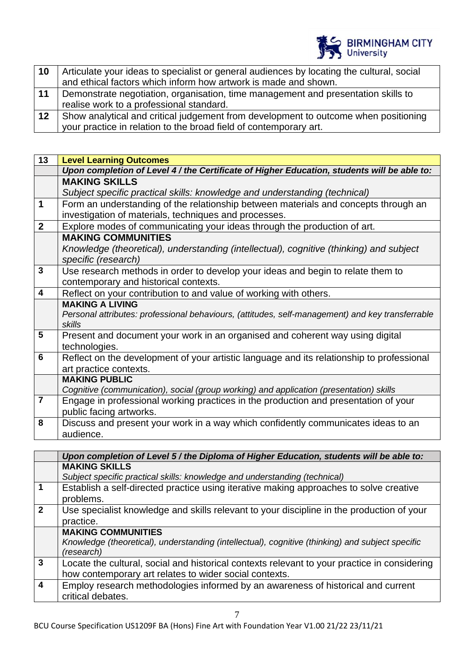

| 10      | Articulate your ideas to specialist or general audiences by locating the cultural, social |  |  |
|---------|-------------------------------------------------------------------------------------------|--|--|
|         | and ethical factors which inform how artwork is made and shown.                           |  |  |
| 11      | Demonstrate negotiation, organisation, time management and presentation skills to         |  |  |
|         | realise work to a professional standard.                                                  |  |  |
| $12 \,$ | Show analytical and critical judgement from development to outcome when positioning       |  |  |
|         | your practice in relation to the broad field of contemporary art.                         |  |  |

| $\overline{1}3$                      | <b>Level Learning Outcomes</b>                                                                   |
|--------------------------------------|--------------------------------------------------------------------------------------------------|
|                                      | Upon completion of Level 4 / the Certificate of Higher Education, students will be able to:      |
|                                      | <b>MAKING SKILLS</b>                                                                             |
|                                      | Subject specific practical skills: knowledge and understanding (technical)                       |
| $\overline{1}$                       | Form an understanding of the relationship between materials and concepts through an              |
|                                      | investigation of materials, techniques and processes.                                            |
| $\overline{2}$                       | Explore modes of communicating your ideas through the production of art.                         |
|                                      | <b>MAKING COMMUNITIES</b>                                                                        |
|                                      | Knowledge (theoretical), understanding (intellectual), cognitive (thinking) and subject          |
|                                      | specific (research)                                                                              |
| $\overline{\mathbf{3}}$              | Use research methods in order to develop your ideas and begin to relate them to                  |
|                                      | contemporary and historical contexts.                                                            |
| $\overline{4}$                       | Reflect on your contribution to and value of working with others.                                |
|                                      | <b>MAKING A LIVING</b>                                                                           |
|                                      | Personal attributes: professional behaviours, (attitudes, self-management) and key transferrable |
|                                      | skills                                                                                           |
| $\overline{\overline{\overline{5}}}$ | Present and document your work in an organised and coherent way using digital                    |
|                                      | technologies.                                                                                    |
| $\overline{6}$                       | Reflect on the development of your artistic language and its relationship to professional        |
|                                      | art practice contexts.                                                                           |
|                                      | <b>MAKING PUBLIC</b>                                                                             |
|                                      | Cognitive (communication), social (group working) and application (presentation) skills          |
|                                      | Engage in professional working practices in the production and presentation of your              |
|                                      | public facing artworks.                                                                          |
| 8                                    | Discuss and present your work in a way which confidently communicates ideas to an                |
|                                      | audience.                                                                                        |

|                | Upon completion of Level 5 / the Diploma of Higher Education, students will be able to:                                                                |
|----------------|--------------------------------------------------------------------------------------------------------------------------------------------------------|
|                | <b>MAKING SKILLS</b><br>Subject specific practical skills: knowledge and understanding (technical)                                                     |
| $\mathbf 1$    | Establish a self-directed practice using iterative making approaches to solve creative<br>problems.                                                    |
| $\overline{2}$ | Use specialist knowledge and skills relevant to your discipline in the production of your<br>practice.                                                 |
|                | <b>MAKING COMMUNITIES</b><br>Knowledge (theoretical), understanding (intellectual), cognitive (thinking) and subject specific<br>(research)            |
| $\overline{3}$ | Locate the cultural, social and historical contexts relevant to your practice in considering<br>how contemporary art relates to wider social contexts. |
| $\overline{4}$ | Employ research methodologies informed by an awareness of historical and current<br>critical debates.                                                  |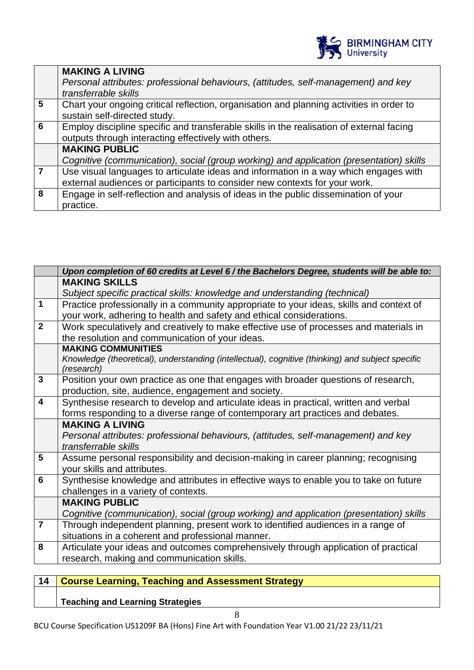

|                | <b>MAKING A LIVING</b>                                                                   |
|----------------|------------------------------------------------------------------------------------------|
|                | Personal attributes: professional behaviours, (attitudes, self-management) and key       |
|                | transferrable skills                                                                     |
| $5\phantom{1}$ | Chart your ongoing critical reflection, organisation and planning activities in order to |
|                | sustain self-directed study.                                                             |
| 6              | Employ discipline specific and transferable skills in the realisation of external facing |
|                | outputs through interacting effectively with others.                                     |
|                | <b>MAKING PUBLIC</b>                                                                     |
|                | Cognitive (communication), social (group working) and application (presentation) skills  |
|                | Use visual languages to articulate ideas and information in a way which engages with     |
|                | external audiences or participants to consider new contexts for your work.               |
| 8              | Engage in self-reflection and analysis of ideas in the public dissemination of your      |
|                | practice.                                                                                |

|                         | Upon completion of 60 credits at Level 6 / the Bachelors Degree, students will be able to:       |
|-------------------------|--------------------------------------------------------------------------------------------------|
|                         | <b>MAKING SKILLS</b>                                                                             |
|                         | Subject specific practical skills: knowledge and understanding (technical)                       |
| $\mathbf{1}$            | Practice professionally in a community appropriate to your ideas, skills and context of          |
|                         | your work, adhering to health and safety and ethical considerations.                             |
| $\overline{2}$          | Work speculatively and creatively to make effective use of processes and materials in            |
|                         | the resolution and communication of your ideas.                                                  |
|                         | <b>MAKING COMMUNITIES</b>                                                                        |
|                         | Knowledge (theoretical), understanding (intellectual), cognitive (thinking) and subject specific |
|                         | (research)                                                                                       |
| $\overline{\mathbf{3}}$ | Position your own practice as one that engages with broader questions of research,               |
|                         | production, site, audience, engagement and society.                                              |
| $\overline{4}$          | Synthesise research to develop and articulate ideas in practical, written and verbal             |
|                         | forms responding to a diverse range of contemporary art practices and debates.                   |
|                         | <b>MAKING A LIVING</b>                                                                           |
|                         | Personal attributes: professional behaviours, (attitudes, self-management) and key               |
|                         | transferrable skills                                                                             |
| $\overline{5}$          | Assume personal responsibility and decision-making in career planning; recognising               |
|                         | your skills and attributes.                                                                      |
| $\overline{6}$          | Synthesise knowledge and attributes in effective ways to enable you to take on future            |
|                         | challenges in a variety of contexts.                                                             |
|                         | <b>MAKING PUBLIC</b>                                                                             |
|                         | Cognitive (communication), social (group working) and application (presentation) skills          |
| $\overline{7}$          | Through independent planning, present work to identified audiences in a range of                 |
|                         | situations in a coherent and professional manner.                                                |
| $\overline{\mathbf{8}}$ | Articulate your ideas and outcomes comprehensively through application of practical              |
|                         | research, making and communication skills.                                                       |
|                         |                                                                                                  |

| 14 Course Learning, Teaching and Assessment Strategy |
|------------------------------------------------------|
|                                                      |

**Teaching and Learning Strategies**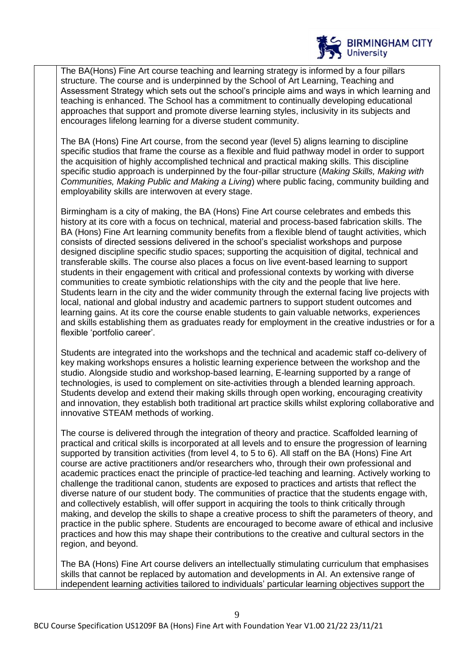

The BA(Hons) Fine Art course teaching and learning strategy is informed by a four pillars structure. The course and is underpinned by the School of Art Learning, Teaching and Assessment Strategy which sets out the school's principle aims and ways in which learning and teaching is enhanced. The School has a commitment to continually developing educational approaches that support and promote diverse learning styles, inclusivity in its subjects and encourages lifelong learning for a diverse student community.

The BA (Hons) Fine Art course, from the second year (level 5) aligns learning to discipline specific studios that frame the course as a flexible and fluid pathway model in order to support the acquisition of highly accomplished technical and practical making skills. This discipline specific studio approach is underpinned by the four-pillar structure (*Making Skills, Making with Communities, Making Public and Making a Living*) where public facing, community building and employability skills are interwoven at every stage.

Birmingham is a city of making, the BA (Hons) Fine Art course celebrates and embeds this history at its core with a focus on technical, material and process-based fabrication skills. The BA (Hons) Fine Art learning community benefits from a flexible blend of taught activities, which consists of directed sessions delivered in the school's specialist workshops and purpose designed discipline specific studio spaces; supporting the acquisition of digital, technical and transferable skills. The course also places a focus on live event-based learning to support students in their engagement with critical and professional contexts by working with diverse communities to create symbiotic relationships with the city and the people that live here. Students learn in the city and the wider community through the external facing live projects with local, national and global industry and academic partners to support student outcomes and learning gains. At its core the course enable students to gain valuable networks, experiences and skills establishing them as graduates ready for employment in the creative industries or for a flexible 'portfolio career'.

Students are integrated into the workshops and the technical and academic staff co-delivery of key making workshops ensures a holistic learning experience between the workshop and the studio. Alongside studio and workshop-based learning, E-learning supported by a range of technologies, is used to complement on site-activities through a blended learning approach. Students develop and extend their making skills through open working, encouraging creativity and innovation, they establish both traditional art practice skills whilst exploring collaborative and innovative STEAM methods of working.

The course is delivered through the integration of theory and practice. Scaffolded learning of practical and critical skills is incorporated at all levels and to ensure the progression of learning supported by transition activities (from level 4, to 5 to 6). All staff on the BA (Hons) Fine Art course are active practitioners and/or researchers who, through their own professional and academic practices enact the principle of practice-led teaching and learning. Actively working to challenge the traditional canon, students are exposed to practices and artists that reflect the diverse nature of our student body. The communities of practice that the students engage with, and collectively establish, will offer support in acquiring the tools to think critically through making, and develop the skills to shape a creative process to shift the parameters of theory, and practice in the public sphere. Students are encouraged to become aware of ethical and inclusive practices and how this may shape their contributions to the creative and cultural sectors in the region, and beyond.

The BA (Hons) Fine Art course delivers an intellectually stimulating curriculum that emphasises skills that cannot be replaced by automation and developments in AI. An extensive range of independent learning activities tailored to individuals' particular learning objectives support the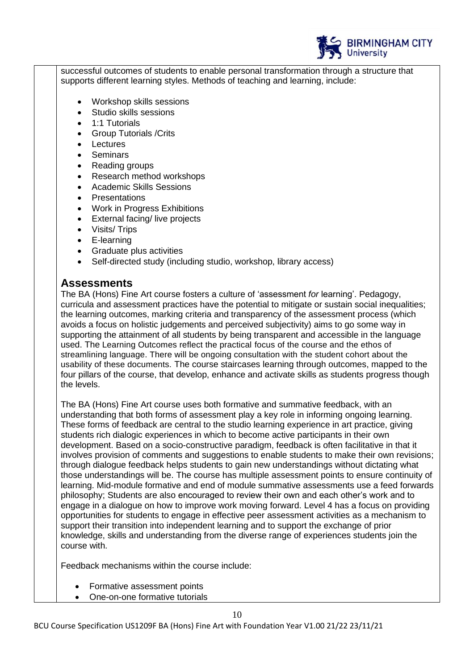

successful outcomes of students to enable personal transformation through a structure that supports different learning styles. Methods of teaching and learning, include:

- Workshop skills sessions
- Studio skills sessions
- 1:1 Tutorials
- Group Tutorials /Crits
- **Lectures**
- **Seminars**
- Reading groups
- Research method workshops
- Academic Skills Sessions
- **Presentations**
- Work in Progress Exhibitions
- External facing/ live projects
- Visits/ Trips
- E-learning
- Graduate plus activities
- Self-directed study (including studio, workshop, library access)

# **Assessments**

The BA (Hons) Fine Art course fosters a culture of 'assessment *for* learning'. Pedagogy, curricula and assessment practices have the potential to mitigate or sustain social inequalities; the learning outcomes, marking criteria and transparency of the assessment process (which avoids a focus on holistic judgements and perceived subjectivity) aims to go some way in supporting the attainment of all students by being transparent and accessible in the language used. The Learning Outcomes reflect the practical focus of the course and the ethos of streamlining language. There will be ongoing consultation with the student cohort about the usability of these documents. The course staircases learning through outcomes, mapped to the four pillars of the course, that develop, enhance and activate skills as students progress though the levels.

The BA (Hons) Fine Art course uses both formative and summative feedback, with an understanding that both forms of assessment play a key role in informing ongoing learning. These forms of feedback are central to the studio learning experience in art practice, giving students rich dialogic experiences in which to become active participants in their own development. Based on a socio-constructive paradigm, feedback is often facilitative in that it involves provision of comments and suggestions to enable students to make their own revisions; through dialogue feedback helps students to gain new understandings without dictating what those understandings will be. The course has multiple assessment points to ensure continuity of learning. Mid-module formative and end of module summative assessments use a feed forwards philosophy; Students are also encouraged to review their own and each other's work and to engage in a dialogue on how to improve work moving forward. Level 4 has a focus on providing opportunities for students to engage in effective peer assessment activities as a mechanism to support their transition into independent learning and to support the exchange of prior knowledge, skills and understanding from the diverse range of experiences students join the course with.

Feedback mechanisms within the course include:

- Formative assessment points
- One-on-one formative tutorials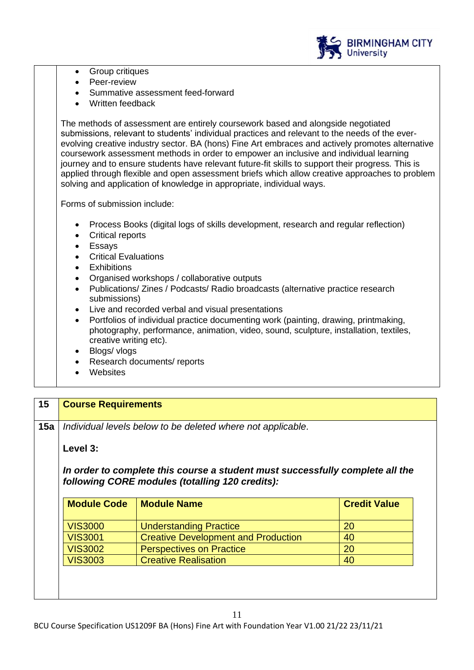

- Group critiques
- Peer-review
- Summative assessment feed-forward
- Written feedback

The methods of assessment are entirely coursework based and alongside negotiated submissions, relevant to students' individual practices and relevant to the needs of the everevolving creative industry sector. BA (hons) Fine Art embraces and actively promotes alternative coursework assessment methods in order to empower an inclusive and individual learning journey and to ensure students have relevant future-fit skills to support their progress*.* This is applied through flexible and open assessment briefs which allow creative approaches to problem solving and application of knowledge in appropriate, individual ways.

Forms of submission include:

- Process Books (digital logs of skills development, research and regular reflection)
- Critical reports
- Essays
- Critical Evaluations
- **Exhibitions**
- Organised workshops / collaborative outputs
- Publications/ Zines / Podcasts/ Radio broadcasts (alternative practice research submissions)
- Live and recorded verbal and visual presentations
- Portfolios of individual practice documenting work (painting, drawing, printmaking, photography, performance, animation, video, sound, sculpture, installation, textiles, creative writing etc).
- Blogs/ vlogs
- Research documents/ reports
- **Websites**

#### **15 Course Requirements**

**15a** *Individual levels below to be deleted where not applicable.*

### **Level 3:**

#### *In order to complete this course a student must successfully complete all the following CORE modules (totalling 120 credits):*

| <b>Module Code</b> | <b>Module Name</b>                         | <b>Credit Value</b> |
|--------------------|--------------------------------------------|---------------------|
| <b>VIS3000</b>     | <b>Understanding Practice</b>              | <b>20</b>           |
| <b>VIS3001</b>     | <b>Creative Development and Production</b> | 40                  |
| <b>VIS3002</b>     | <b>Perspectives on Practice</b>            | 20                  |
| <b>VIS3003</b>     | <b>Creative Realisation</b>                | 40                  |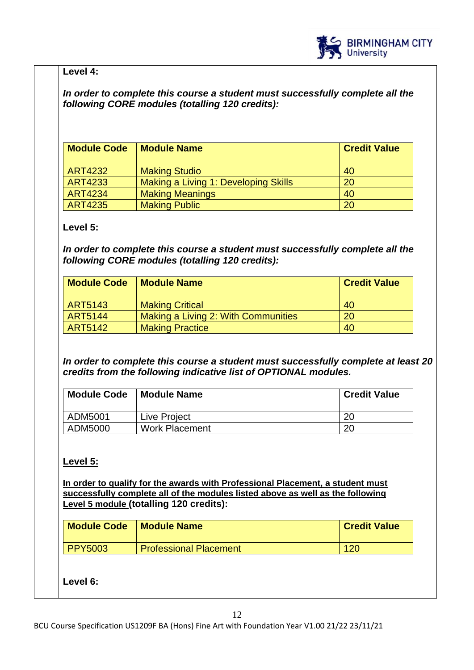

### **Level 4:**

### *In order to complete this course a student must successfully complete all the following CORE modules (totalling 120 credits):*

| <b>Module Code</b> | <b>Module Name</b>                   | <b>Credit Value</b> |
|--------------------|--------------------------------------|---------------------|
| <b>ART4232</b>     | <b>Making Studio</b>                 | 40                  |
| <b>ART4233</b>     | Making a Living 1: Developing Skills | 20                  |
| <b>ART4234</b>     | <b>Making Meanings</b>               | 40                  |
| <b>ART4235</b>     | <b>Making Public</b>                 | 20                  |

### **Level 5:**

*In order to complete this course a student must successfully complete all the following CORE modules (totalling 120 credits):*

| <b>Module Code</b> | <b>Module Name</b>                  | <b>Credit Value</b> |
|--------------------|-------------------------------------|---------------------|
| ART5143            | <b>Making Critical</b>              | 40                  |
| <b>ART5144</b>     | Making a Living 2: With Communities | 20                  |
| <b>ART5142</b>     | <b>Making Practice</b>              | 40                  |

*In order to complete this course a student must successfully complete at least 20 credits from the following indicative list of OPTIONAL modules.* 

| <b>Module Code</b> | <b>Module Name</b>    | <b>Credit Value</b> |
|--------------------|-----------------------|---------------------|
| ADM5001            | Live Project          | 20                  |
| ADM5000            | <b>Work Placement</b> | 20                  |

# **Level 5:**

**In order to qualify for the awards with Professional Placement, a student must successfully complete all of the modules listed above as well as the following Level 5 module (totalling 120 credits):**

| <b>Module Code</b> | <b>Module Name</b>            | <b>Credit Value</b> |
|--------------------|-------------------------------|---------------------|
| <b>PPY5003</b>     | <b>Professional Placement</b> | 120                 |

**Level 6:**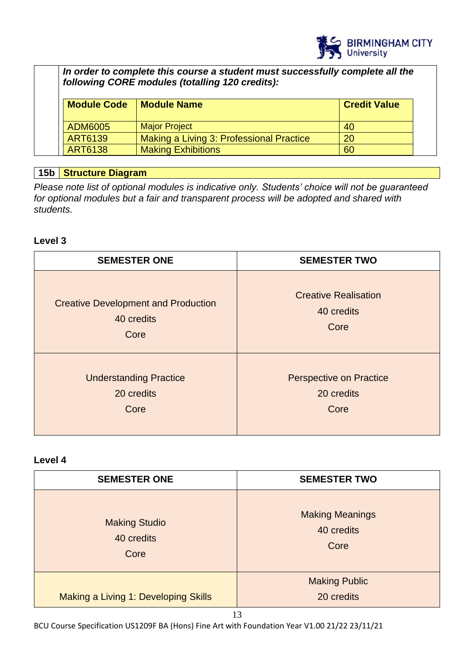

*In order to complete this course a student must successfully complete all the following CORE modules (totalling 120 credits):*

| <b>Module Code</b> | <b>Module Name</b>                       | <b>Credit Value</b> |
|--------------------|------------------------------------------|---------------------|
| ADM6005            | <b>Major Project</b>                     | 40                  |
| ART6139            | Making a Living 3: Professional Practice | 20                  |
| ART6138            | <b>Making Exhibitions</b>                | 60                  |

### **15b Structure Diagram**

*Please note list of optional modules is indicative only. Students' choice will not be guaranteed for optional modules but a fair and transparent process will be adopted and shared with students.*

### **Level 3**

| <b>SEMESTER ONE</b>                        | <b>SEMESTER TWO</b>            |
|--------------------------------------------|--------------------------------|
| <b>Creative Development and Production</b> | <b>Creative Realisation</b>    |
| 40 credits                                 | 40 credits                     |
| Core                                       | Core                           |
| <b>Understanding Practice</b>              | <b>Perspective on Practice</b> |
| 20 credits                                 | 20 credits                     |
| Core                                       | Core                           |

# **Level 4**

| <b>SEMESTER ONE</b>                        | <b>SEMESTER TWO</b>                          |
|--------------------------------------------|----------------------------------------------|
| <b>Making Studio</b><br>40 credits<br>Core | <b>Making Meanings</b><br>40 credits<br>Core |
| Making a Living 1: Developing Skills       | <b>Making Public</b><br>20 credits           |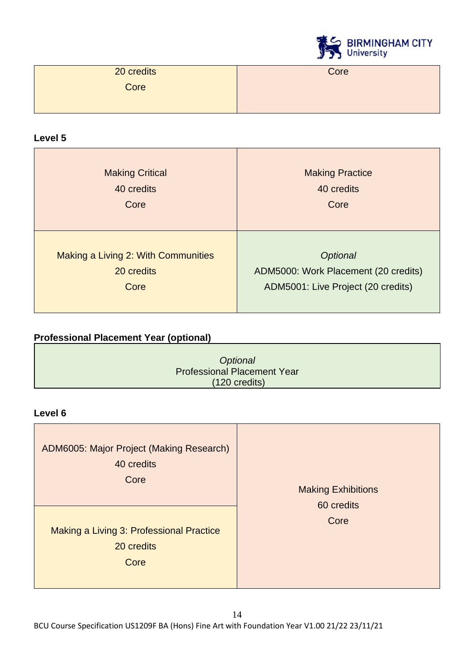

| 20 credits | Core |
|------------|------|
| Core       |      |
|            |      |

### **Level 5**

| <b>Making Critical</b>              | <b>Making Practice</b>               |
|-------------------------------------|--------------------------------------|
| 40 credits                          | 40 credits                           |
| Core                                | Core                                 |
| Making a Living 2: With Communities | <b>Optional</b>                      |
| 20 credits                          | ADM5000: Work Placement (20 credits) |
| Core                                | ADM5001: Live Project (20 credits)   |

# **Professional Placement Year (optional)**

| Optional                           |
|------------------------------------|
| <b>Professional Placement Year</b> |
| $(120 \text{ credits})$            |

### **Level 6**

| ADM6005: Major Project (Making Research)<br>40 credits<br>Core | <b>Making Exhibitions</b><br>60 credits |
|----------------------------------------------------------------|-----------------------------------------|
| Making a Living 3: Professional Practice<br>20 credits<br>Core | Core                                    |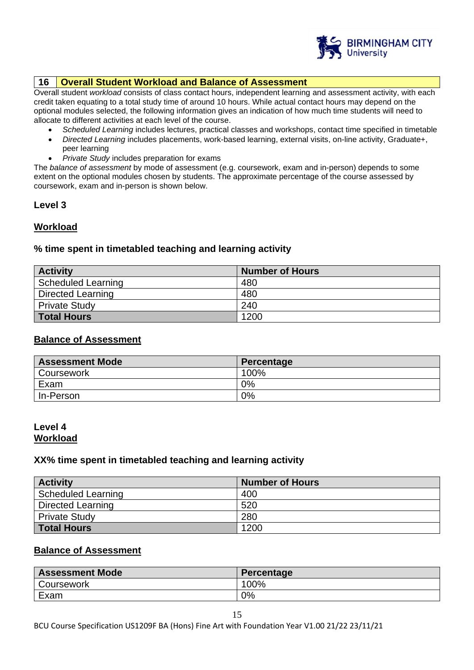

#### **16 Overall Student Workload and Balance of Assessment**

Overall student *workload* consists of class contact hours, independent learning and assessment activity, with each credit taken equating to a total study time of around 10 hours. While actual contact hours may depend on the optional modules selected, the following information gives an indication of how much time students will need to allocate to different activities at each level of the course.

- *Scheduled Learning* includes lectures, practical classes and workshops, contact time specified in timetable
- *Directed Learning* includes placements, work-based learning, external visits, on-line activity, Graduate+, peer learning
- *Private Study* includes preparation for exams

The *balance of assessment* by mode of assessment (e.g. coursework, exam and in-person) depends to some extent on the optional modules chosen by students. The approximate percentage of the course assessed by coursework, exam and in-person is shown below.

#### **Level 3**

#### **Workload**

#### **% time spent in timetabled teaching and learning activity**

| <b>Activity</b>          | <b>Number of Hours</b> |
|--------------------------|------------------------|
| Scheduled Learning       | 480                    |
| <b>Directed Learning</b> | 480                    |
| <b>Private Study</b>     | 240                    |
| <b>Total Hours</b>       | 1200                   |

#### **Balance of Assessment**

| <b>Assessment Mode</b> | Percentage |
|------------------------|------------|
| Coursework             | 100%       |
| Exam                   | 0%         |
| In-Person              | 0%         |

#### **Level 4 Workload**

#### **XX% time spent in timetabled teaching and learning activity**

| <b>Activity</b>           | <b>Number of Hours</b> |
|---------------------------|------------------------|
| <b>Scheduled Learning</b> | 400                    |
| <b>Directed Learning</b>  | 520                    |
| <b>Private Study</b>      | 280                    |
| Total Hours               | 1200                   |

#### **Balance of Assessment**

| <b>Assessment Mode</b> | Percentage |
|------------------------|------------|
| Coursework             | 100%       |
| Exam                   | 0%         |

BCU Course Specification US1209F BA (Hons) Fine Art with Foundation Year V1.00 21/22 23/11/21